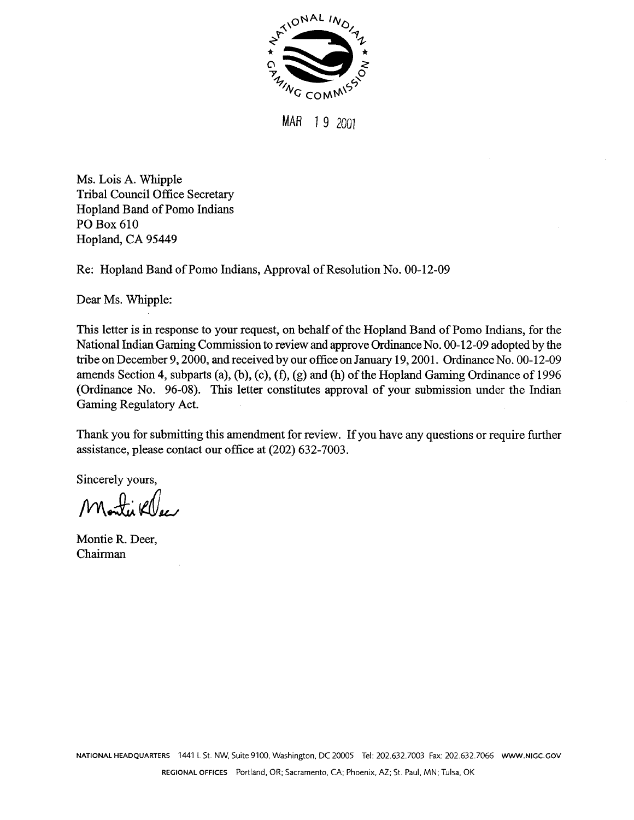

**MAR** 1 **9** 2001

Ms. Lois **A.** Whipple Tribal Council Office Secretary Hopland Band of Pomo Indians PO Box 610 Hopland, CA 95449

Re: Hopland Band of Porno Indians, Approval of Resolution No. 00-12-09

Dear Ms. Whipple:

This letter is in response to your request, on behalf of the Hopland Band of Porno Indians, for the National Indian Gaming Commission to review and approve Ordinance No. 00-12-09 adopted by the tribe on December 9, 2000, and received by our office on January 19, 2001. Ordinance No. 00-12-09 amends Section 4, subparts (a), (b), (c), **(f),** (g) and (h) of the Hopland Gaming Ordinance of 1996 (Ordinance No. 96-08). This letter constitutes approval of your submission under the Indian Gaming Regulatory Act.

Thank you for submitting this amendment for review. If you have any questions or require further assistance, please contact our office at (202) 632-7003.

Sincerely yours,

Montie Klee

Montie R. Deer, Chairman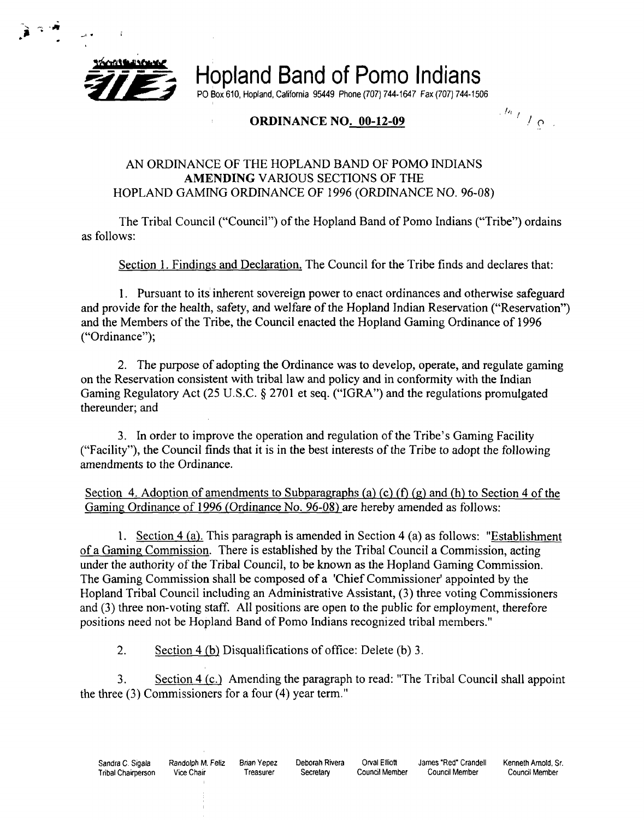

**pigmums and Stand Stand of Porno Indians**<br>Po Box 610, Hopland, California 95449 Phone (707) 744-1647 Fax (707) 744-1506<br>ORDINANCE NO. 00-12-09

PO Box 610, Hopland, Califomla 95449 Phone (707) 744-1647 Fax (707) 744-1506

## **ORDINANCE NO<u>. 00-12-09</u> <b>P**

## AN ORDINANCE OF THE HOPLAND BAND OF POMO INDIANS **AMENDING** VARIOUS SECTIONS OF THE HOPLAND GAMING ORDINANCE OF 1996 (ORDINANCE NO. 96-08)

The Tribal Council ("Council") of the Hopland Band of Pomo Indians ("Tribe") ordains as follows:

Section 1. Findings and Declaration. The Council for the Tribe finds and declares that:

1. Pursuant to its inherent sovereign power to enact ordinances and otherwise safeguard and provide for the health, safety, and welfare of the Hopland Indian Reservation ("Reservation") and the Members of the Tribe, the Council enacted the Hopland Gaming Ordinance of 1996 ("Ordinance");

2. The purpose of adopting the Ordinance was to develop, operate, and regulate gaming on the Reservation consistent with tribal law and policy and in conformity with the Indian Gaming Regulatory Act (25 U.S.C. § 2701 et seq. ("IGRA") and the regulations promulgated thereunder; and

3. In order to improve the operation and regulation of the Tribe's Gaming Facility ("Facility"), the Council finds that it is in the best interests of the Tribe to adopt the following amendments to the Ordinance.

Section 4. Adoption of amendments to Subparagraphs (a) (c) (f) (g) and (h) to Section 4 of the Gaming Ordinance of 1996 (Ordinance No. 96-08) are hereby amended as follows:

1. Section 4 (a). This paragraph is amended in Section 4 (a) as follows: "Establishment of a Gaming Commission. There is established by the Tribal Council a Commission, acting under the authority of the Tribal Council, to be known as the Hopland Gaming Commission. The Gaming Commission shall be composed of a 'Chief Commissioner' appointed by the Hopland Tribal Council including an Administrative Assistant, **(3)** three voting Commissioners and (3) three non-voting staff. All positions are open to the public for employment, therefore positions need not be Hopland Band of Pomo Indians recognized tribal members."

2. Section 4 (b) Disqualifications of office: Delete (b) **3.** 

3. Section 4 (c.) Amending the paragraph to read: "The Tribal Council shall appoint the three **(3)** Commissioners for a four (4) year term."